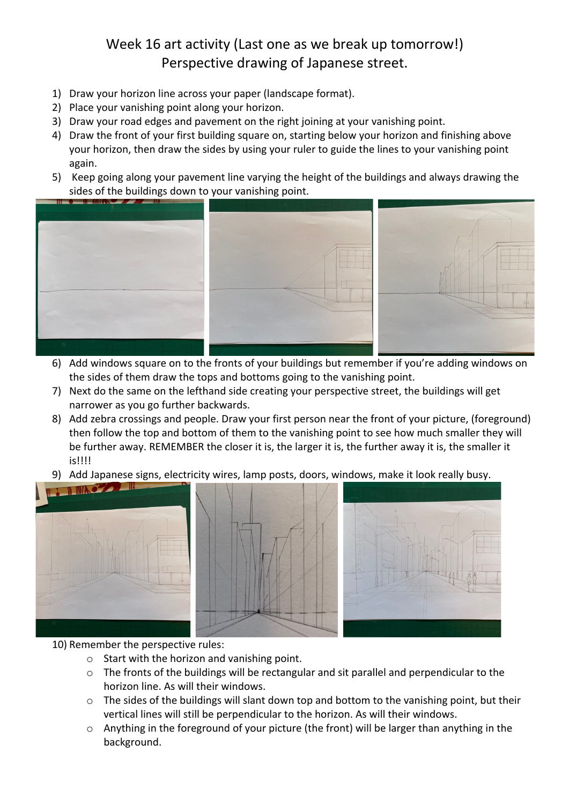## Week 16 art activity (Last one as we break up tomorrow!) Perspective drawing of Japanese street.

- 1) Draw your horizon line across your paper (landscape format).
- 2) Place your vanishing point along your horizon.
- 3) Draw your road edges and pavement on the right joining at your vanishing point.
- 4) Draw the front of your first building square on, starting below your horizon and finishing above your horizon, then draw the sides by using your ruler to guide the lines to your vanishing point again.
- 5) Keep going along your pavement line varying the height of the buildings and always drawing the sides of the buildings down to your vanishing point.



- 6) Add windows square on to the fronts of your buildings but remember if you're adding windows on the sides of them draw the tops and bottoms going to the vanishing point.
- 7) Next do the same on the lefthand side creating your perspective street, the buildings will get narrower as you go further backwards.
- 8) Add zebra crossings and people. Draw your first person near the front of your picture, (foreground) then follow the top and bottom of them to the vanishing point to see how much smaller they will be further away. REMEMBER the closer it is, the larger it is, the further away it is, the smaller it is!!!!
- 9) Add Japanese signs, electricity wires, lamp posts, doors, windows, make it look really busy.



## 10) Remember the perspective rules:

- o Start with the horizon and vanishing point.
- $\circ$  The fronts of the buildings will be rectangular and sit parallel and perpendicular to the horizon line. As will their windows.
- o The sides of the buildings will slant down top and bottom to the vanishing point, but their vertical lines will still be perpendicular to the horizon. As will their windows.
- $\circ$  Anything in the foreground of your picture (the front) will be larger than anything in the background.